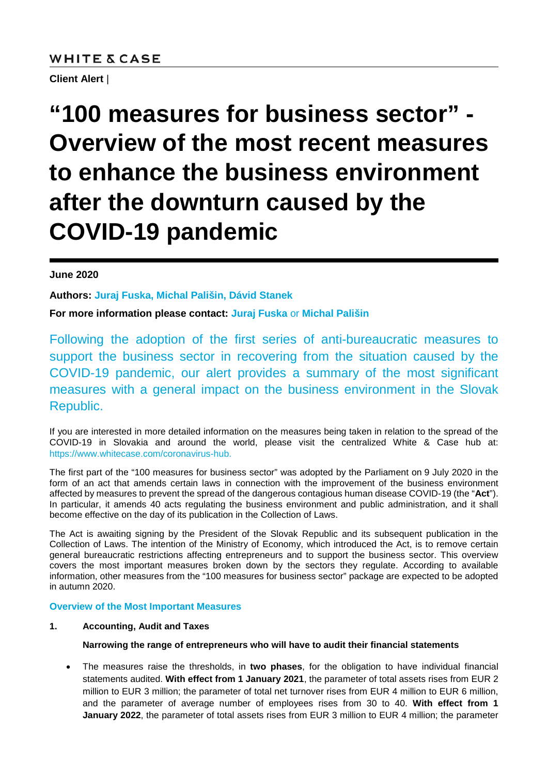# **WHITE & CASE**

**Client Alert** |

# **"100 measures for business sector" - Overview of the most recent measures to enhance the business environment after the downturn caused by the COVID-19 pandemic**

# **June 2020**

**Authors: [Juraj Fuska,](https://www.whitecase.com/people/juraj-fuska) [Michal Pališin,](https://www.whitecase.com/people/michal-palisin) Dávid Stanek**

**For more information please contact: [Juraj Fuska](mailto:jfuska@whitecase.com)** or **[Michal Pališin](mailto:mpalisin@whitecase.com)**

Following the adoption of the first series of anti-bureaucratic measures to support the business sector in recovering from the situation caused by the COVID-19 pandemic, our alert provides a summary of the most significant measures with a general impact on the business environment in the Slovak Republic.

If you are interested in more detailed information on the measures being taken in relation to the spread of the COVID-19 in Slovakia and around the world, please visit the centralized White & Case hub at: [https://www.whitecase.com/coronavirus-hub.](https://www.whitecase.com/coronavirus-hub)

The first part of the "100 measures for business sector" was adopted by the Parliament on 9 July 2020 in the form of an act that amends certain laws in connection with the improvement of the business environment affected by measures to prevent the spread of the dangerous contagious human disease COVID-19 (the "**Act**"). In particular, it amends 40 acts regulating the business environment and public administration, and it shall become effective on the day of its publication in the Collection of Laws.

The Act is awaiting signing by the President of the Slovak Republic and its subsequent publication in the Collection of Laws. The intention of the Ministry of Economy, which introduced the Act, is to remove certain general bureaucratic restrictions affecting entrepreneurs and to support the business sector. This overview covers the most important measures broken down by the sectors they regulate. According to available information, other measures from the "100 measures for business sector" package are expected to be adopted in autumn 2020.

# **Overview of the Most Important Measures**

# **1. Accounting, Audit and Taxes**

# **Narrowing the range of entrepreneurs who will have to audit their financial statements**

• The measures raise the thresholds, in **two phases**, for the obligation to have individual financial statements audited. **With effect from 1 January 2021**, the parameter of total assets rises from EUR 2 million to EUR 3 million; the parameter of total net turnover rises from EUR 4 million to EUR 6 million, and the parameter of average number of employees rises from 30 to 40. **With effect from 1 January 2022**, the parameter of total assets rises from EUR 3 million to EUR 4 million; the parameter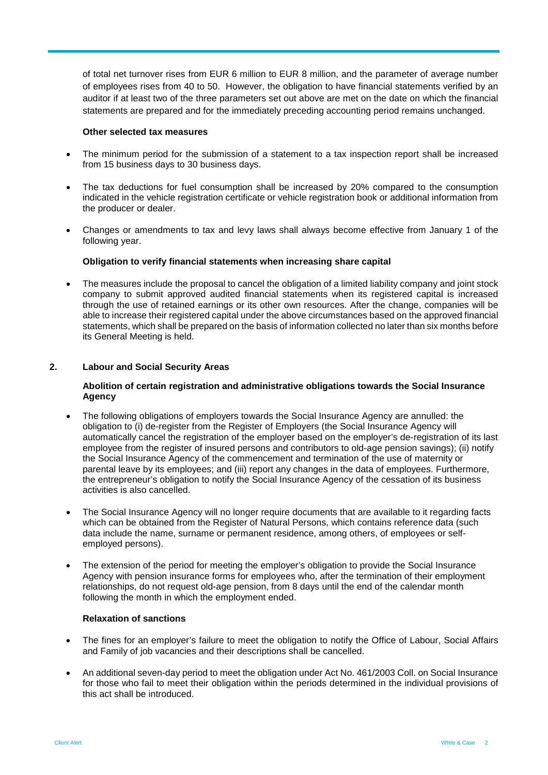of total net turnover rises from EUR 6 million to EUR 8 million, and the parameter of average number of employees rises from 40 to 50. However, the obligation to have financial statements verified by an auditor if at least two of the three parameters set out above are met on the date on which the financial statements are prepared and for the immediately preceding accounting period remains unchanged.

#### **Other selected tax measures**

- The minimum period for the submission of a statement to a tax inspection report shall be increased from 15 business days to 30 business days.
- The tax deductions for fuel consumption shall be increased by 20% compared to the consumption indicated in the vehicle registration certificate or vehicle registration book or additional information from the producer or dealer.
- Changes or amendments to tax and levy laws shall always become effective from January 1 of the following year.

#### **Obligation to verify financial statements when increasing share capital**

The measures include the proposal to cancel the obligation of a limited liability company and joint stock company to submit approved audited financial statements when its registered capital is increased through the use of retained earnings or its other own resources. After the change, companies will be able to increase their registered capital under the above circumstances based on the approved financial statements, which shall be prepared on the basis of information collected no later than six months before its General Meeting is held.

#### **2. Labour and Social Security Areas**

#### **Abolition of certain registration and administrative obligations towards the Social Insurance Agency**

- The following obligations of employers towards the Social Insurance Agency are annulled: the obligation to (i) de-register from the Register of Employers (the Social Insurance Agency will automatically cancel the registration of the employer based on the employer's de-registration of its last employee from the register of insured persons and contributors to old-age pension savings); (ii) notify the Social Insurance Agency of the commencement and termination of the use of maternity or parental leave by its employees; and (iii) report any changes in the data of employees. Furthermore, the entrepreneur's obligation to notify the Social Insurance Agency of the cessation of its business activities is also cancelled.
- The Social Insurance Agency will no longer require documents that are available to it regarding facts which can be obtained from the Register of Natural Persons, which contains reference data (such data include the name, surname or permanent residence, among others, of employees or selfemployed persons).
- The extension of the period for meeting the employer's obligation to provide the Social Insurance Agency with pension insurance forms for employees who, after the termination of their employment relationships, do not request old-age pension, from 8 days until the end of the calendar month following the month in which the employment ended.

#### **Relaxation of sanctions**

- The fines for an employer's failure to meet the obligation to notify the Office of Labour, Social Affairs and Family of job vacancies and their descriptions shall be cancelled.
- An additional seven-day period to meet the obligation under Act No. 461/2003 Coll. on Social Insurance for those who fail to meet their obligation within the periods determined in the individual provisions of this act shall be introduced.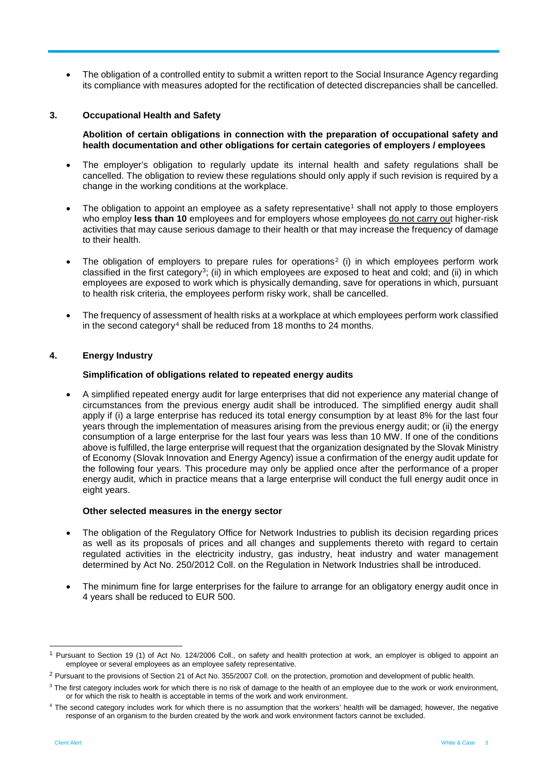• The obligation of a controlled entity to submit a written report to the Social Insurance Agency regarding its compliance with measures adopted for the rectification of detected discrepancies shall be cancelled.

## **3. Occupational Health and Safety**

**Abolition of certain obligations in connection with the preparation of occupational safety and health documentation and other obligations for certain categories of employers / employees**

- The employer's obligation to regularly update its internal health and safety regulations shall be cancelled. The obligation to review these regulations should only apply if such revision is required by a change in the working conditions at the workplace.
- The obligation to appoint an employee as a safety representative<sup>[1](#page-2-0)</sup> shall not apply to those employers who employ **less than 10** employees and for employers whose employees do not carry out higher-risk activities that may cause serious damage to their health or that may increase the frequency of damage to their health.
- The obligation of employers to prepare rules for operations<sup>[2](#page-2-1)</sup> (i) in which employees perform work classified in the first category[3;](#page-2-2) (ii) in which employees are exposed to heat and cold; and (ii) in which employees are exposed to work which is physically demanding, save for operations in which, pursuant to health risk criteria, the employees perform risky work, shall be cancelled.
- The frequency of assessment of health risks at a workplace at which employees perform work classified in the second category<sup>[4](#page-2-3)</sup> shall be reduced from 18 months to 24 months.

## **4. Energy Industry**

#### **Simplification of obligations related to repeated energy audits**

• A simplified repeated energy audit for large enterprises that did not experience any material change of circumstances from the previous energy audit shall be introduced. The simplified energy audit shall apply if (i) a large enterprise has reduced its total energy consumption by at least 8% for the last four years through the implementation of measures arising from the previous energy audit; or (ii) the energy consumption of a large enterprise for the last four years was less than 10 MW. If one of the conditions above is fulfilled, the large enterprise will request that the organization designated by the Slovak Ministry of Economy (Slovak Innovation and Energy Agency) issue a confirmation of the energy audit update for the following four years. This procedure may only be applied once after the performance of a proper energy audit, which in practice means that a large enterprise will conduct the full energy audit once in eight years.

#### **Other selected measures in the energy sector**

- The obligation of the Regulatory Office for Network Industries to publish its decision regarding prices as well as its proposals of prices and all changes and supplements thereto with regard to certain regulated activities in the electricity industry, gas industry, heat industry and water management determined by Act No. 250/2012 Coll. on the Regulation in Network Industries shall be introduced.
- The minimum fine for large enterprises for the failure to arrange for an obligatory energy audit once in 4 years shall be reduced to EUR 500.

<span id="page-2-0"></span> <sup>1</sup> Pursuant to Section 19 (1) of Act No. 124/2006 Coll., on safety and health protection at work, an employer is obliged to appoint an employee or several employees as an employee safety representative.

<span id="page-2-1"></span><sup>&</sup>lt;sup>2</sup> Pursuant to the provisions of Section 21 of Act No. 355/2007 Coll. on the protection, promotion and development of public health.

<span id="page-2-2"></span><sup>&</sup>lt;sup>3</sup> The first category includes work for which there is no risk of damage to the health of an employee due to the work or work environment, or for which the risk to health is acceptable in terms of the work and work environment.

<span id="page-2-3"></span><sup>&</sup>lt;sup>4</sup> The second category includes work for which there is no assumption that the workers' health will be damaged; however, the negative response of an organism to the burden created by the work and work environment factors cannot be excluded.